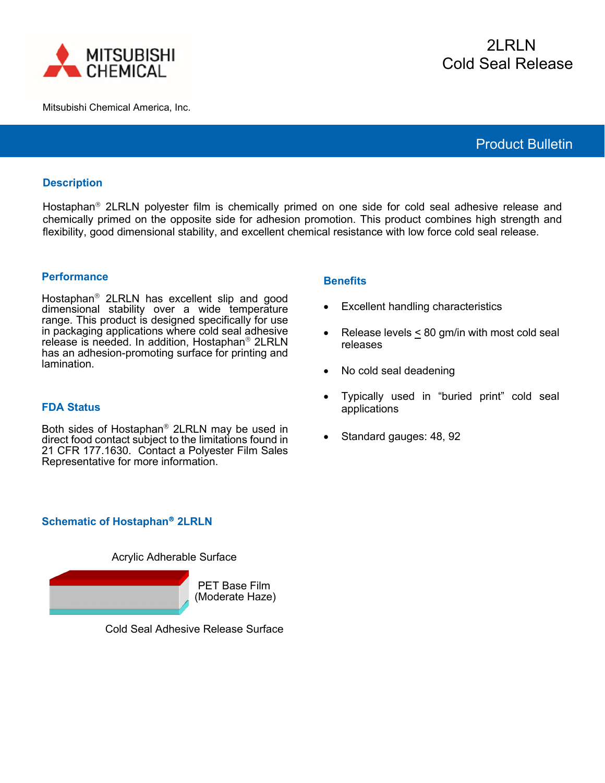

Mitsubishi Chemical America, Inc.

# Product Bulletin

### **Description**

Hostaphan<sup>®</sup> 2LRLN polyester film is chemically primed on one side for cold seal adhesive release and chemically primed on the opposite side for adhesion promotion. This product combines high strength and flexibility, good dimensional stability, and excellent chemical resistance with low force cold seal release.

#### **Performance**

Hostaphan<sup>®</sup> 2LRLN has excellent slip and good dimensional stability over a wide temperature range. This product is designed specifically for use in packaging applications where cold seal adhesive release is needed. In addition, Hostaphan<sup>®</sup> 2LRLN has an adhesion-promoting surface for printing and lamination.

#### **FDA Status**

Both sides of Hostaphan<sup>®</sup> 2LRLN may be used in direct food contact subject to the limitations found in 21 CFR 177.1630. Contact a Polyester Film Sales Representative for more information.

## **Schematic of Hostaphan 2LRLN**

Acrylic Adherable Surface



Cold Seal Adhesive Release Surface

#### **Benefits**

- Excellent handling characteristics
- Release levels < 80 gm/in with most cold seal releases
- No cold seal deadening
- Typically used in "buried print" cold seal applications
- Standard gauges: 48, 92